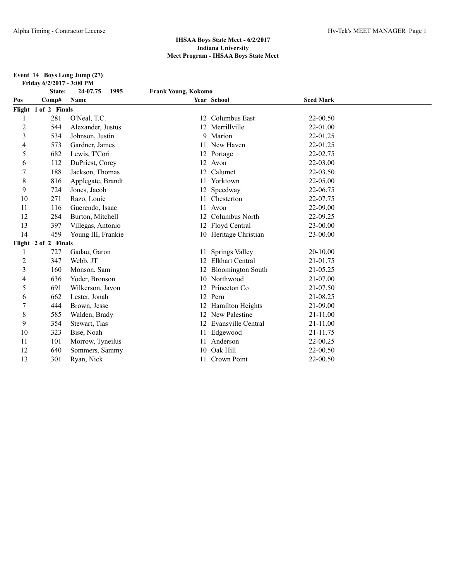#### **Event 14 Boys Long Jump (27) Friday 6/2/2017 - 3:00 PM**

|                | State:               | 1995<br>24-07.75   | <b>Frank Young, Kokomo</b> |                          |                  |  |
|----------------|----------------------|--------------------|----------------------------|--------------------------|------------------|--|
| Pos            | Comp#                | Name               |                            | Year School              | <b>Seed Mark</b> |  |
|                | Flight 1 of 2 Finals |                    |                            |                          |                  |  |
|                | 281                  | O'Neal, T.C.       |                            | 12 Columbus East         | 22-00.50         |  |
| $\overline{c}$ | 544                  | Alexander, Justus  |                            | 12 Merrillville          | 22-01.00         |  |
| 3              | 534                  | Johnson, Justin    |                            | 9 Marion                 | 22-01.25         |  |
| 4              | 573                  | Gardner, James     |                            | 11 New Haven             | 22-01.25         |  |
| 5              | 682                  | Lewis, T'Cori      |                            | 12 Portage               | 22-02.75         |  |
| 6              | 112                  | DuPriest, Corey    |                            | 12 Avon                  | 22-03.00         |  |
| 7              | 188                  | Jackson, Thomas    | 12                         | Calumet                  | 22-03.50         |  |
| 8              | 816                  | Applegate, Brandt  |                            | 11 Yorktown              | 22-05.00         |  |
| 9              | 724                  | Jones, Jacob       | 12                         | Speedway                 | 22-06.75         |  |
| 10             | 271                  | Razo, Louie        |                            | Chesterton               | 22-07.75         |  |
| 11             | 116                  | Guerendo, Isaac    | 11                         | Avon                     | 22-09.00         |  |
| 12             | 284                  | Burton, Mitchell   |                            | Columbus North           | 22-09.25         |  |
| 13             | 397                  | Villegas, Antonio  |                            | 12 Floyd Central         | 23-00.00         |  |
| 14             | 459                  | Young III, Frankie |                            | 10 Heritage Christian    | 23-00.00         |  |
|                | Flight 2 of 2 Finals |                    |                            |                          |                  |  |
|                | 727                  | Gadau, Garon       | 11                         | <b>Springs Valley</b>    | 20-10.00         |  |
| $\overline{c}$ | 347                  | Webb, JT           |                            | <b>Elkhart Central</b>   | 21-01.75         |  |
| 3              | 160                  | Monson, Sam        |                            | <b>Bloomington South</b> | 21-05.25         |  |
| 4              | 636                  | Yoder, Bronson     |                            | 10 Northwood             | 21-07.00         |  |
| 5              | 691                  | Wilkerson, Javon   |                            | Princeton Co             | 21-07.50         |  |
| 6              | 662                  | Lester, Jonah      |                            | 12 Peru                  | 21-08.25         |  |
| 7              | 444                  | Brown, Jesse       |                            | Hamilton Heights         | 21-09.00         |  |
| 8              | 585                  | Walden, Brady      |                            | 12 New Palestine         | 21-11.00         |  |
| 9              | 354                  | Stewart, Tias      |                            | 12 Evansville Central    | 21-11.00         |  |
| 10             | 323                  | Bise, Noah         |                            | 11 Edgewood              | 21-11.75         |  |
| 11             | 101                  | Morrow, Tyneilus   | 11                         | Anderson                 | 22-00.25         |  |
| 12             | 640                  | Sommers, Sammy     | 10                         | Oak Hill                 | 22-00.50         |  |
| 13             | 301                  | Ryan, Nick         |                            | 11 Crown Point           | 22-00.50         |  |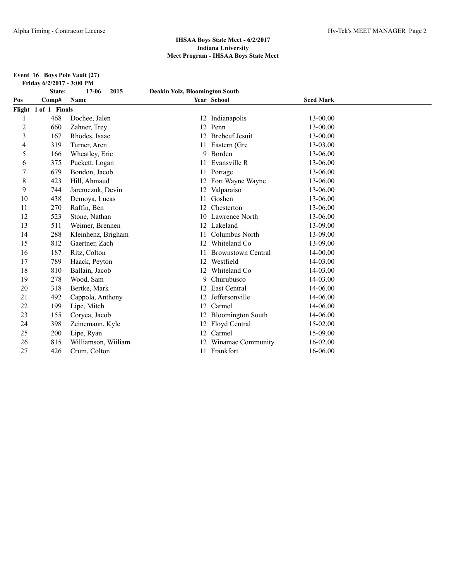**Event 16 Boys Pole Vault (27) Friday 6/2/2017 - 3:00 PM**

|                | State:               | $17 - 06$<br>2015   | <b>Deakin Volz, Bloomington South</b> |                           |                  |  |
|----------------|----------------------|---------------------|---------------------------------------|---------------------------|------------------|--|
| Pos            | Comp#                | Name                |                                       | Year School               | <b>Seed Mark</b> |  |
|                | Flight 1 of 1 Finals |                     |                                       |                           |                  |  |
|                | 468                  | Dochee, Jalen       |                                       | 12 Indianapolis           | 13-00.00         |  |
| $\overline{c}$ | 660                  | Zahner, Trey        | 12                                    | Penn                      | 13-00.00         |  |
| 3              | 167                  | Rhodes, Isaac       | 12                                    | <b>Brebeuf Jesuit</b>     | 13-00.00         |  |
| 4              | 319                  | Turner, Aren        |                                       | 11 Eastern (Gre           | 13-03.00         |  |
| 5              | 166                  | Wheatley, Eric      | 9                                     | Borden                    | 13-06.00         |  |
| 6              | 375                  | Puckett, Logan      | 11                                    | Evansville R              | 13-06.00         |  |
|                | 679                  | Bondon, Jacob       |                                       | 11 Portage                | 13-06.00         |  |
| 8              | 423                  | Hill, Ahmaud        |                                       | 12 Fort Wayne Wayne       | 13-06.00         |  |
| 9              | 744                  | Jaremczuk, Devin    |                                       | Valparaiso                | 13-06.00         |  |
| 10             | 438                  | Demoya, Lucas       | 11                                    | Goshen                    | 13-06.00         |  |
| 11             | 270                  | Raffin, Ben         | 12                                    | Chesterton                | 13-06.00         |  |
| 12             | 523                  | Stone, Nathan       | 10                                    | Lawrence North            | 13-06.00         |  |
| 13             | 511                  | Weimer, Brennen     | 12                                    | Lakeland                  | 13-09.00         |  |
| 14             | 288                  | Kleinhenz, Brigham  |                                       | Columbus North            | 13-09.00         |  |
| 15             | 812                  | Gaertner, Zach      |                                       | Whiteland Co              | 13-09.00         |  |
| 16             | 187                  | Ritz, Colton        |                                       | <b>Brownstown Central</b> | 14-00.00         |  |
| 17             | 789                  | Haack, Peyton       | 12                                    | Westfield                 | 14-03.00         |  |
| 18             | 810                  | Ballain, Jacob      | 12                                    | Whiteland Co              | 14-03.00         |  |
| 19             | 278                  | Wood, Sam           | 9                                     | Churubusco                | 14-03.00         |  |
| 20             | 318                  | Bertke, Mark        | 12                                    | East Central              | 14-06.00         |  |
| 21             | 492                  | Cappola, Anthony    | 12                                    | Jeffersonville            | 14-06.00         |  |
| 22             | 199                  | Lipe, Mitch         | 12                                    | Carmel                    | 14-06.00         |  |
| 23             | 155                  | Coryea, Jacob       |                                       | <b>Bloomington South</b>  | 14-06.00         |  |
| 24             | 398                  | Zeinemann, Kyle     | 12                                    | Floyd Central             | 15-02.00         |  |
| 25             | 200                  | Lipe, Ryan          | 12                                    | Carmel                    | 15-09.00         |  |
| 26             | 815                  | Williamson, Wiiliam | 12                                    | Winamac Community         | 16-02.00         |  |
| 27             | 426                  | Crum, Colton        |                                       | 11 Frankfort              | 16-06.00         |  |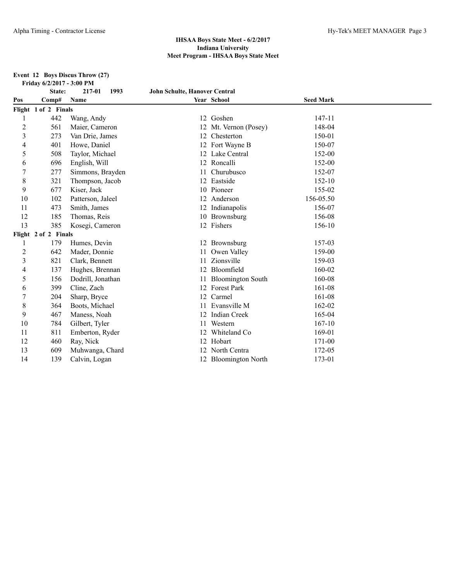#### **Event 12 Boys Discus Throw (27) Friday 6/2/2017 - 3:00 PM**

|                | State:               | 217-01<br>1993    | <b>John Schulte, Hanover Central</b> |                          |                  |  |
|----------------|----------------------|-------------------|--------------------------------------|--------------------------|------------------|--|
| Pos            | Comp#                | Name              |                                      | Year School              | <b>Seed Mark</b> |  |
|                | Flight 1 of 2 Finals |                   |                                      |                          |                  |  |
|                | 442                  | Wang, Andy        |                                      | 12 Goshen                | 147-11           |  |
| $\overline{c}$ | 561                  | Maier, Cameron    |                                      | Mt. Vernon (Posey)       | 148-04           |  |
| 3              | 273                  | Van Drie, James   | 12                                   | Chesterton               | 150-01           |  |
| 4              | 401                  | Howe, Daniel      | 12                                   | Fort Wayne B             | 150-07           |  |
| 5              | 508                  | Taylor, Michael   |                                      | Lake Central             | 152-00           |  |
| 6              | 696                  | English, Will     |                                      | 12 Roncalli              | 152-00           |  |
| 7              | 277                  | Simmons, Brayden  |                                      | Churubusco               | 152-07           |  |
| 8              | 321                  | Thompson, Jacob   |                                      | Eastside                 | 152-10           |  |
| 9              | 677                  | Kiser, Jack       | 10                                   | Pioneer                  | 155-02           |  |
| 10             | 102                  | Patterson, Jaleel |                                      | Anderson                 | 156-05.50        |  |
| 11             | 473                  | Smith, James      |                                      | Indianapolis             | 156-07           |  |
| 12             | 185                  | Thomas, Reis      |                                      | 10 Brownsburg            | 156-08           |  |
| 13             | 385                  | Kosegi, Cameron   |                                      | 12 Fishers               | 156-10           |  |
|                | Flight 2 of 2 Finals |                   |                                      |                          |                  |  |
| 1              | 179                  | Humes, Devin      |                                      | 12 Brownsburg            | 157-03           |  |
| 2              | 642                  | Mader, Donnie     |                                      | Owen Valley              | 159-00           |  |
| 3              | 821                  | Clark, Bennett    | 11                                   | Zionsville               | 159-03           |  |
| 4              | 137                  | Hughes, Brennan   |                                      | Bloomfield               | 160-02           |  |
| 5              | 156                  | Dodrill, Jonathan |                                      | <b>Bloomington South</b> | 160-08           |  |
| 6              | 399                  | Cline, Zach       |                                      | <b>Forest Park</b>       | 161-08           |  |
|                | 204                  | Sharp, Bryce      | 12                                   | Carmel                   | 161-08           |  |
| 8              | 364                  | Boots, Michael    |                                      | Evansville M             | 162-02           |  |
| 9              | 467                  | Maness, Noah      |                                      | <b>Indian Creek</b>      | 165-04           |  |
| 10             | 784                  | Gilbert, Tyler    | 11                                   | Western                  | $167 - 10$       |  |
| 11             | 811                  | Emberton, Ryder   |                                      | Whiteland Co             | 169-01           |  |
| 12             | 460                  | Ray, Nick         | 12                                   | Hobart                   | 171-00           |  |
| 13             | 609                  | Muhwanga, Chard   |                                      | North Centra             | 172-05           |  |
| 14             | 139                  | Calvin, Logan     |                                      | 12 Bloomington North     | 173-01           |  |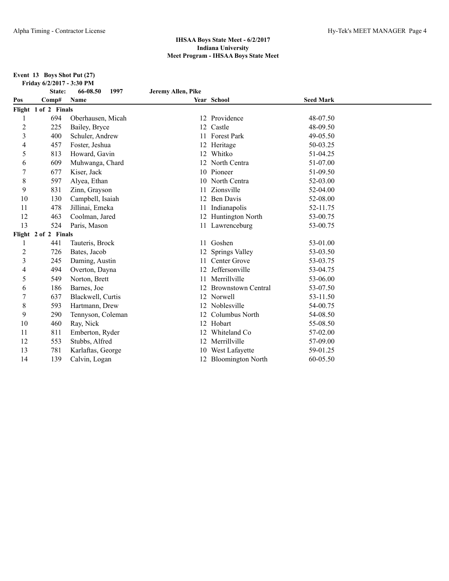**Event 13 Boys Shot Put (27) Friday 6/2/2017 - 3:30 PM**

|                | State:               | 66-08.50<br>1997  | Jeremy Allen, Pike |                           |                  |  |
|----------------|----------------------|-------------------|--------------------|---------------------------|------------------|--|
| Pos            | Comp#                | Name              |                    | Year School               | <b>Seed Mark</b> |  |
|                | Flight 1 of 2 Finals |                   |                    |                           |                  |  |
|                | 694                  | Oberhausen, Micah | 12                 | Providence                | 48-07.50         |  |
| 2              | 225                  | Bailey, Bryce     | 12                 | Castle                    | 48-09.50         |  |
| 3              | 400                  | Schuler, Andrew   | 11                 | Forest Park               | 49-05.50         |  |
| 4              | 457                  | Foster, Jeshua    |                    | 12 Heritage               | 50-03.25         |  |
| 5              | 813                  | Howard, Gavin     | 12                 | Whitko                    | 51-04.25         |  |
| 6              | 609                  | Muhwanga, Chard   | 12                 | North Centra              | 51-07.00         |  |
| 7              | 677                  | Kiser, Jack       |                    | 10 Pioneer                | 51-09.50         |  |
| 8              | 597                  | Alyea, Ethan      |                    | North Centra              | 52-03.00         |  |
| 9              | 831                  | Zinn, Grayson     | 11                 | Zionsville                | 52-04.00         |  |
| 10             | 130                  | Campbell, Isaiah  | 12                 | <b>Ben Davis</b>          | 52-08.00         |  |
| 11             | 478                  | Jillinai, Emeka   |                    | Indianapolis              | 52-11.75         |  |
| 12             | 463                  | Coolman, Jared    |                    | 12 Huntington North       | 53-00.75         |  |
| 13             | 524                  | Paris, Mason      |                    | 11 Lawrenceburg           | 53-00.75         |  |
|                | Flight 2 of 2 Finals |                   |                    |                           |                  |  |
| 1              | 441                  | Tauteris, Brock   | 11                 | Goshen                    | 53-01.00         |  |
| $\overline{2}$ | 726                  | Bates, Jacob      |                    | Springs Valley            | 53-03.50         |  |
| 3              | 245                  | Daming, Austin    | 11                 | Center Grove              | 53-03.75         |  |
| 4              | 494                  | Overton, Dayna    |                    | Jeffersonville            | 53-04.75         |  |
| 5              | 549                  | Norton, Brett     | 11                 | Merrillville              | 53-06.00         |  |
| 6              | 186                  | Barnes, Joe       |                    | <b>Brownstown Central</b> | 53-07.50         |  |
| 7              | 637                  | Blackwell, Curtis | 12                 | Norwell                   | 53-11.50         |  |
| 8              | 593                  | Hartmann, Drew    |                    | Noblesville               | 54-00.75         |  |
| 9              | 290                  | Tennyson, Coleman | 12                 | Columbus North            | 54-08.50         |  |
| 10             | 460                  | Ray, Nick         |                    | 12 Hobart                 | 55-08.50         |  |
| 11             | 811                  | Emberton, Ryder   |                    | Whiteland Co              | 57-02.00         |  |
| 12             | 553                  | Stubbs, Alfred    | 12                 | Merrillville              | 57-09.00         |  |
| 13             | 781                  | Karlaftas, George |                    | West Lafayette            | 59-01.25         |  |
| 14             | 139                  | Calvin, Logan     |                    | 12 Bloomington North      | 60-05.50         |  |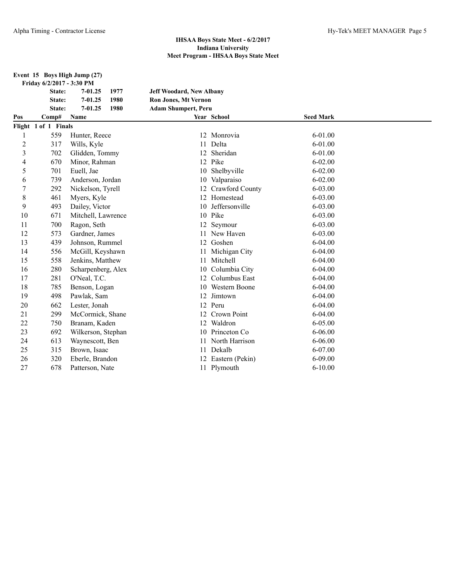|  | Event 15 Boys High Jump (27) |  |
|--|------------------------------|--|
|--|------------------------------|--|

|                         | Friday 6/2/2017 - 3:30 PM |                     |                                 |                    |                  |  |
|-------------------------|---------------------------|---------------------|---------------------------------|--------------------|------------------|--|
|                         | State:                    | $7 - 01.25$<br>1977 | <b>Jeff Woodard, New Albany</b> |                    |                  |  |
|                         | State:                    | $7 - 01.25$<br>1980 | Ron Jones, Mt Vernon            |                    |                  |  |
|                         | State:                    | 1980<br>$7 - 01.25$ | <b>Adam Shumpert, Peru</b>      |                    |                  |  |
| Pos                     | Comp#                     | Name                |                                 | Year School        | <b>Seed Mark</b> |  |
|                         | Flight 1 of 1 Finals      |                     |                                 |                    |                  |  |
| 1                       | 559                       | Hunter, Reece       | 12                              | Monrovia           | $6 - 01.00$      |  |
| $\overline{c}$          | 317                       | Wills, Kyle         | 11                              | Delta              | $6 - 01.00$      |  |
| $\overline{\mathbf{3}}$ | 702                       | Glidden, Tommy      | 12                              | Sheridan           | $6 - 01.00$      |  |
| 4                       | 670                       | Minor, Rahman       | 12                              | Pike               | $6 - 02.00$      |  |
| 5                       | 701                       | Euell, Jae          | 10                              | Shelbyville        | $6 - 02.00$      |  |
| 6                       | 739                       | Anderson, Jordan    | 10                              | Valparaiso         | $6 - 02.00$      |  |
| $\boldsymbol{7}$        | 292                       | Nickelson, Tyrell   | 12                              | Crawford County    | 6-03.00          |  |
| 8                       | 461                       | Myers, Kyle         | 12                              | Homestead          | 6-03.00          |  |
| 9                       | 493                       | Dailey, Victor      | 10                              | Jeffersonville     | $6 - 03.00$      |  |
| 10                      | 671                       | Mitchell, Lawrence  | 10                              | Pike               | $6 - 03.00$      |  |
| 11                      | 700                       | Ragon, Seth         | 12                              | Seymour            | 6-03.00          |  |
| 12                      | 573                       | Gardner, James      | 11                              | New Haven          | 6-03.00          |  |
| 13                      | 439                       | Johnson, Rummel     |                                 | 12 Goshen          | $6 - 04.00$      |  |
| 14                      | 556                       | McGill, Keyshawn    | 11                              | Michigan City      | $6 - 04.00$      |  |
| 15                      | 558                       | Jenkins, Matthew    | 11                              | Mitchell           | $6-04.00$        |  |
| 16                      | 280                       | Scharpenberg, Alex  | 10                              | Columbia City      | $6 - 04.00$      |  |
| 17                      | 281                       | O'Neal, T.C.        | 12                              | Columbus East      | $6 - 04.00$      |  |
| 18                      | 785                       | Benson, Logan       | 10                              | Western Boone      | $6 - 04.00$      |  |
| 19                      | 498                       | Pawlak, Sam         | 12                              | Jimtown            | $6-04.00$        |  |
| 20                      | 662                       | Lester, Jonah       | 12                              | Peru               | $6-04.00$        |  |
| 21                      | 299                       | McCormick, Shane    | 12                              | Crown Point        | $6 - 04.00$      |  |
| 22                      | 750                       | Branam, Kaden       | 12                              | Waldron            | $6 - 05.00$      |  |
| 23                      | 692                       | Wilkerson, Stephan  | 10                              | Princeton Co.      | $6 - 06.00$      |  |
| 24                      | 613                       | Waynescott, Ben     | 11                              | North Harrison     | $6 - 06.00$      |  |
| 25                      | 315                       | Brown, Isaac        | 11                              | Dekalb             | 6-07.00          |  |
| 26                      | 320                       | Eberle, Brandon     |                                 | 12 Eastern (Pekin) | 6-09.00          |  |
| 27                      | 678                       | Patterson, Nate     |                                 | 11 Plymouth        | $6 - 10.00$      |  |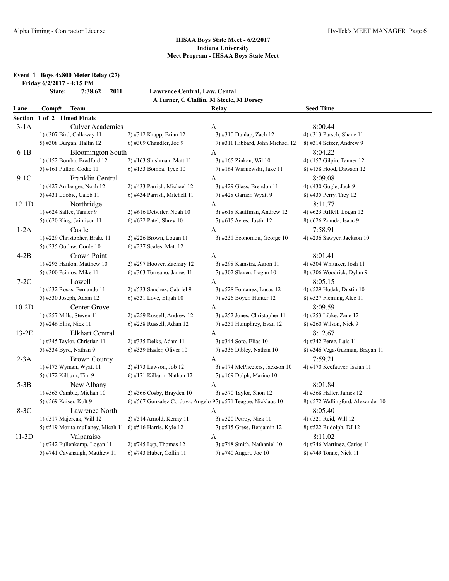# **Event 1 Boys 4x800 Meter Relay (27)**

**Friday 6/2/2017 - 4:15 PM**

**State: 7:38.62 2011 Lawrence Central, Law. Cental A Turner, C Claflin, M Steele, M Dorsey**

| Lane           | Comp#<br>Team                                             |                                                               | Relay                            | <b>Seed Time</b>                  |
|----------------|-----------------------------------------------------------|---------------------------------------------------------------|----------------------------------|-----------------------------------|
| <b>Section</b> | 1 of 2 Timed Finals                                       |                                                               |                                  |                                   |
| $3-1A$         | <b>Culver Academies</b>                                   |                                                               | A                                | 8:00.44                           |
|                | 1) #307 Bird, Callaway 11                                 | 2) #312 Krupp, Brian 12                                       | 3) #310 Dunlap, Zach 12          | 4) #313 Pursch, Shane 11          |
|                | 5) #308 Burgan, Hallin 12                                 | 6) #309 Chandler, Joe 9                                       | 7) #311 Hibbard, John Michael 12 | $8)$ #314 Setzer, Andrew 9        |
| $6-1B$         | <b>Bloomington South</b>                                  |                                                               | A                                | 8:04.22                           |
|                | 1) #152 Bomba, Bradford 12                                | 2) #163 Shishman, Matt 11                                     | 3) #165 Zinkan, Wil 10           | 4) #157 Gilpin, Tanner 12         |
|                | 5) #161 Pullon, Codie 11                                  | 6) #153 Bomba, Tyce 10                                        | 7) #164 Wisniewski, Jake 11      | 8) #158 Hood, Dawson 12           |
| $9-1C$         | Franklin Central                                          |                                                               | A                                | 8:09.08                           |
|                | 1) #427 Amberger, Noah 12                                 | 2) #433 Parrish, Michael 12                                   | 3) #429 Glass, Brendon 11        | 4) #430 Gugle, Jack 9             |
|                | 5) #431 Loobie, Caleb 11                                  | 6) #434 Parrish, Mitchell 11                                  | 7) #428 Garner, Wyatt 9          | 8) #435 Perry, Trey 12            |
| $12-1D$        | Northridge                                                |                                                               | A                                | 8:11.77                           |
|                | 1) #624 Sallee, Tanner 9                                  | 2) #616 Detwiler, Noah 10                                     | 3) #618 Kauffman, Andrew 12      | 4) #623 Riffell, Logan 12         |
|                | 5) #620 King, Jaimison 11                                 | 6) #622 Patel, Shrey 10                                       | 7) #615 Ayres, Justin 12         | 8) #626 Zmuda, Isaac 9            |
| $1-2A$         | Castle                                                    |                                                               | A                                | 7:58.91                           |
|                | 1) #229 Christopher, Brake 11                             | 2) #226 Brown, Logan 11                                       | $3)$ #231 Economou, George 10    | 4) #236 Sawyer, Jackson $10$      |
|                | 5) #235 Outlaw, Corde 10                                  | 6) #237 Scales, Matt 12                                       |                                  |                                   |
| $4-2B$         | Crown Point                                               |                                                               | A                                | 8:01.41                           |
|                | 1) #295 Hanlon, Matthew 10                                | 2) #297 Hoover, Zachary 12                                    | 3) #298 Kamstra, Aaron 11        | 4) #304 Whitaker, Josh 11         |
|                | 5) #300 Psimos, Mike 11                                   | $6$ ) #303 Torreano, James 11                                 | 7) #302 Slaven, Logan 10         | 8) #306 Woodrick, Dylan 9         |
| $7-2C$         | Lowell                                                    |                                                               | $\mathbf{A}$                     | 8:05.15                           |
|                | 1) #532 Rosas, Fernando 11                                | 2) #533 Sanchez, Gabriel 9                                    | $3)$ #528 Fontanez, Lucas 12     | 4) #529 Hudak, Dustin 10          |
|                | 5) #530 Joseph, Adam 12                                   | 6) #531 Love, Elijah 10                                       | 7) #526 Boyer, Hunter 12         | 8) #527 Fleming, Alec 11          |
| $10-2D$        | Center Grove                                              |                                                               | A                                | 8:09.59                           |
|                | 1) #257 Mills, Steven 11                                  | 2) #259 Russell, Andrew 12                                    | 3) #252 Jones, Christopher 11    | 4) #253 Libke, Zane 12            |
|                | 5) #246 Ellis, Nick 11                                    | 6) #258 Russell, Adam 12                                      | 7) #251 Humphrey, Evan $12$      | 8) #260 Wilson, Nick 9            |
| $13-2E$        | <b>Elkhart Central</b>                                    |                                                               | A                                | 8:12.67                           |
|                | 1) #345 Taylor, Christian 11                              | 2) #335 Delks, Adam 11                                        | 3) #344 Soto, Elias 10           | 4) #342 Perez, Luis 11            |
|                | 5) #334 Byrd, Nathan 9                                    | 6) #339 Hasler, Oliver 10                                     | 7) #336 Dibley, Nathan 10        | 8) #346 Vega-Guzman, Brayan 11    |
| $2-3A$         | <b>Brown County</b>                                       |                                                               | A                                | 7:59.21                           |
|                | 1) #175 Wyman, Wyatt 11                                   | 2) #173 Lawson, Job 12                                        | 3) #174 McPheeters, Jackson 10   | 4) #170 Keefauver, Isaiah 11      |
|                | 5) #172 Kilburn, Tim 9                                    | 6) #171 Kilburn, Nathan 12                                    | 7) #169 Dolph, Marino 10         |                                   |
| $5-3B$         | New Albany                                                |                                                               | A                                | 8:01.84                           |
|                | 1) #565 Camble, Michah 10                                 | $2)$ #566 Cosby, Brayden 10                                   | 3) #570 Taylor, Shon 12          | 4) #568 Haller, James 12          |
|                | 5) #569 Kaiser, Kolt 9                                    | 6) #567 Gonzalez Cordova, Angelo 97) #571 Teague, Nicklaus 10 |                                  | 8) #572 Wallingford, Alexander 10 |
| 8-3C           | Lawrence North                                            |                                                               | A                                | 8:05.40                           |
|                | 1) #517 Majercak, Will 12                                 | 2) #514 Arnold, Kenny 11                                      | 3) #520 Petroy, Nick 11          | 4) #521 Reid, Will 12             |
|                | 5) #519 Morita-mullaney, Micah 11 6) #516 Harris, Kyle 12 |                                                               | $(7)$ #515 Grese, Benjamin 12    | 8) #522 Rudolph, DJ 12            |
| $11-3D$        | Valparaiso                                                |                                                               | A                                | 8:11.02                           |
|                | 1) #742 Fullenkamp, Logan 11                              | 2) #745 Lyp, Thomas 12                                        | 3) #748 Smith, Nathaniel 10      | 4) #746 Martinez, Carlos 11       |
|                | 5) #741 Cavanaugh, Matthew 11                             | 6) #743 Huber, Collin 11                                      | 7) #740 Angert, Joe 10           | 8) #749 Tonne, Nick 11            |
|                |                                                           |                                                               |                                  |                                   |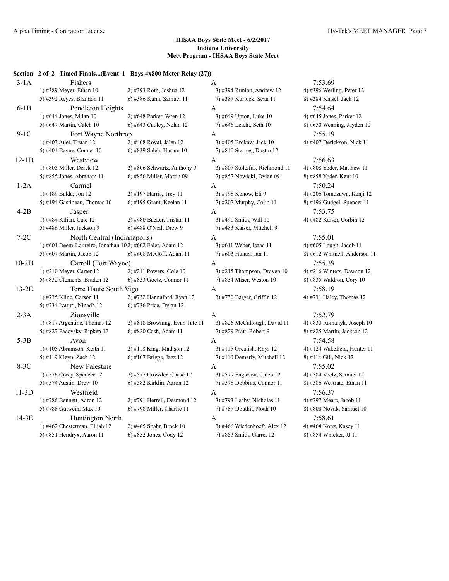## **Section 2 of 2 Timed Finals...(Event 1 Boys 4x800 Meter Relay (27))**  $3-1$ A 7:53.69 1) #389 Meyer, Ethan 10 2) #393 Roth, Joshua 12 3) #394 Runion, Andrew 12 4) #396 Werling, Peter 12 5) #392 Reyes, Brandon 11 6) #386 Kuhn, Samuel 11 7) #387 Kurtock, Sean 11 8) #384 Kinsel, Jack 12 6-1B Pendleton Heights A 7:54.64 1) #644 Jones, Milan 10 2) #648 Parker, Wren 12 3) #649 Upton, Luke 10 4) #645 Jones, Parker 12 5) #647 Martin, Caleb 10 6) #643 Cauley, Nolan 12 7) #646 Leicht, Seth 10 8) #650 Wenning, Jayden 10 9-1C Fort Wayne Northrop A 7:55.19 1) #403 Auer, Trstan 12 2) #408 Royal, Jalen 12 3) #405 Brokaw, Jack 10 4) #407 Derickson, Nick 11 5) #404 Bayne, Conner 10 6) #839 Saleh, Husam 10 7) #840 Starnes, Dustin 12 12-1D Westview A 7:56.63 1) #805 Miller, Derek 12 2) #806 Schwartz, Anthony 9 3) #807 Stoltzfus, Richmond 11 4) #808 Yoder, Matthew 11 5) #855 Jones, Abraham 11 6) #856 Miller, Martin 09 7) #857 Nowicki, Dylan 09 8) #858 Yoder, Kent 10 1-2A Carmel A 7:50.24 1) #189 Balda, Jon 12 2) #197 Harris, Trey 11 3) #198 Konow, Eli 9 4) #206 Tomozawa, Kenji 12 5) #194 Gastineau, Thomas 10 6) #195 Grant, Keelan 11 7) #202 Murphy, Colin 11 8) #196 Gudgel, Spencer 11 4-2B Jasper A 7:53.75 1) #484 Kilian, Cale 12 2) #480 Backer, Tristan 11 3) #490 Smith, Will 10 4) #482 Kaiser, Corbin 12 5) #486 Miller, Jackson 9 6) #488 O'Neil, Drew 9 7) #483 Kaiser, Mitchell 9 7-2C North Central (Indianapolis) A 7:55.01 1) #601 Deem-Loureiro, Jonathan 10 2) #602 Faler, Adam 12 3) #611 Weber, Isaac 11 4) #605 Lough, Jacob 11 5) #607 Martin, Jacob 12 6) #608 McGoff, Adam 11 7) #603 Hunter, Ian 11 8) #612 Whitnell, Anderson 11 10-2D Carroll (Fort Wayne) A 7:55.39 1) #210 Meyer, Carter 12 2) #211 Powers, Cole 10 3) #215 Thompson, Draven 10 4) #216 Winters, Dawson 12 5) #832 Clements, Braden 12 6) #833 Goetz, Connor 11 7) #834 Miser, Weston 10 8) #835 Waldron, Cory 10 13-2E Terre Haute South Vigo A 7:58.19 1) #735 Kline, Carson 11 2) #732 Hannaford, Ryan 12 3) #730 Barger, Griffin 12 4) #731 Haley, Thomas 12 5) #734 Ivaturi, Ninadh 12 6) #736 Price, Dylan 12 2-3A Zionsville  $\overline{A}$  A 7:52.79 1) #817 Argentine, Thomas 12 2) #818 Browning, Evan Tate 11 3) #826 McCullough, David 11 4) #830 Romanyk, Joseph 10 5) #827 Pacovsky, Ripken 12 6) #820 Cash, Adam 11 7) #829 Pratt, Robert 9 8) #825 Martin, Jackson 12  $5-3B$  Avon  $A$  7:54.58 1) #105 Abramson, Keith 11 2) #118 King, Madison 12 3) #115 Grealish, Rhys 12 4) #124 Wakefield, Hunter 11 5) #119 Kleyn, Zach 12 6) #107 Briggs, Jazz 12 7) #110 Demerly, Mitchell 12 8) #114 Gill, Nick 12 8-3C New Palestine A 7:55.02<br>
1) #576 Corey, Spencer 12 2) #577 Crowder, Chase 12 3) #579 Eagleson, Caleb 12 4) #584 Voelz, Samuel 12 3) #579 Eagleson, Caleb 12 5) #574 Austin, Drew 10 6) #582 Kirklin, Aaron 12 7) #578 Dobbins, Connor 11 8) #586 Westrate, Ethan 11 11-3D Westfield A 7:56.37 1) #786 Bennett, Aaron 12 2) #791 Herrell, Desmond 12 3) #793 Leahy, Nicholas 11 4) #797 Mears, Jacob 11 5) #788 Gutwein, Max 10 6) #798 Miller, Charlie 11 7) #787 Douthit, Noah 10 8) #800 Novak, Samuel 10 14-3E Huntington North A 7:58.61 1) #462 Chesterman, Elijah 12 2) #465 Spahr, Brock 10 3) #466 Wiedenhoeft, Alex 12 4) #464 Konz, Kasey 11 5) #851 Hendryx, Aaron 11 6) #852 Jones, Cody 12 7) #853 Smith, Garret 12 8) #854 Whicker, JJ 11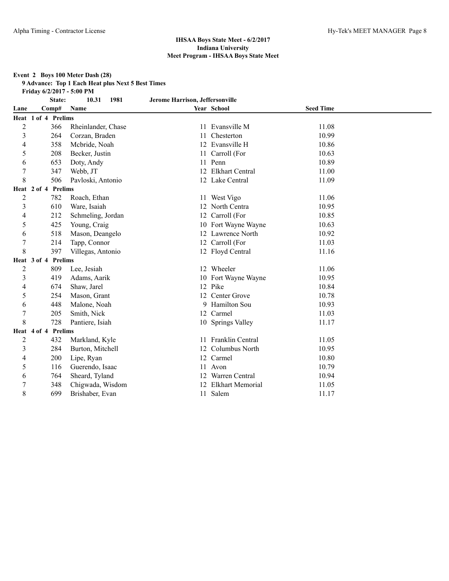#### **Event 2 Boys 100 Meter Dash (28)**

**9 Advance: Top 1 Each Heat plus Next 5 Best Times**

**Friday 6/2/2017 - 5:00 PM**

|                | State:                        | 10.31<br>1981      | Jerome Harrison, Jeffersonville |                     |                  |  |
|----------------|-------------------------------|--------------------|---------------------------------|---------------------|------------------|--|
| Lane           | Comp#                         | Name               |                                 | Year School         | <b>Seed Time</b> |  |
|                | Heat 1 of 4 Prelims           |                    |                                 |                     |                  |  |
| $\overline{2}$ | 366                           | Rheinlander, Chase | 11                              | Evansville M        | 11.08            |  |
| 3              | 264                           | Corzan, Braden     | 11                              | Chesterton          | 10.99            |  |
| 4              | 358                           | Mcbride, Noah      | 12                              | Evansville H        | 10.86            |  |
| 5              | 208                           | Becker, Justin     |                                 | 11 Carroll (For     | 10.63            |  |
| 6              | 653                           | Doty, Andy         | 11                              | Penn                | 10.89            |  |
| 7              | 347                           | Webb, JT           |                                 | 12 Elkhart Central  | 11.00            |  |
| 8              | 506                           | Pavloski, Antonio  |                                 | 12 Lake Central     | 11.09            |  |
|                | Prelims<br>Heat 2 of 4        |                    |                                 |                     |                  |  |
| $\overline{c}$ | 782                           | Roach, Ethan       |                                 | 11 West Vigo        | 11.06            |  |
| 3              | 610                           | Ware, Isaiah       |                                 | 12 North Centra     | 10.95            |  |
| 4              | 212                           | Schmeling, Jordan  |                                 | 12 Carroll (For     | 10.85            |  |
| 5              | 425                           | Young, Craig       |                                 | 10 Fort Wayne Wayne | 10.63            |  |
| 6              | 518                           | Mason, Deangelo    | 12                              | Lawrence North      | 10.92            |  |
|                | 214                           | Tapp, Connor       |                                 | 12 Carroll (For     | 11.03            |  |
| 8              | 397                           | Villegas, Antonio  |                                 | 12 Floyd Central    | 11.16            |  |
|                | <b>Heat 3 of 4 Prelims</b>    |                    |                                 |                     |                  |  |
| $\overline{c}$ | 809                           | Lee, Jesiah        |                                 | 12 Wheeler          | 11.06            |  |
| 3              | 419                           | Adams, Aarik       |                                 | 10 Fort Wayne Wayne | 10.95            |  |
| 4              | 674                           | Shaw, Jarel        |                                 | 12 Pike             | 10.84            |  |
| 5              | 254                           | Mason, Grant       |                                 | 12 Center Grove     | 10.78            |  |
| 6              | 448                           | Malone, Noah       | 9                               | <b>Hamilton Sou</b> | 10.93            |  |
| 7              | 205                           | Smith, Nick        |                                 | 12 Carmel           | 11.03            |  |
| 8              | 728                           | Pantiere, Isiah    |                                 | 10 Springs Valley   | 11.17            |  |
|                | Heat 4 of 4<br><b>Prelims</b> |                    |                                 |                     |                  |  |
| $\overline{c}$ | 432                           | Markland, Kyle     |                                 | 11 Franklin Central | 11.05            |  |
| 3              | 284                           | Burton, Mitchell   |                                 | 12 Columbus North   | 10.95            |  |
| 4              | 200                           | Lipe, Ryan         |                                 | 12 Carmel           | 10.80            |  |
| 5              | 116                           | Guerendo, Isaac    |                                 | Avon                | 10.79            |  |
| 6              | 764                           | Sheard, Tyland     |                                 | Warren Central      | 10.94            |  |
| 7              | 348                           | Chigwada, Wisdom   |                                 | 12 Elkhart Memorial | 11.05            |  |
| 8              | 699                           | Brishaber, Evan    |                                 | 11 Salem            | 11.17            |  |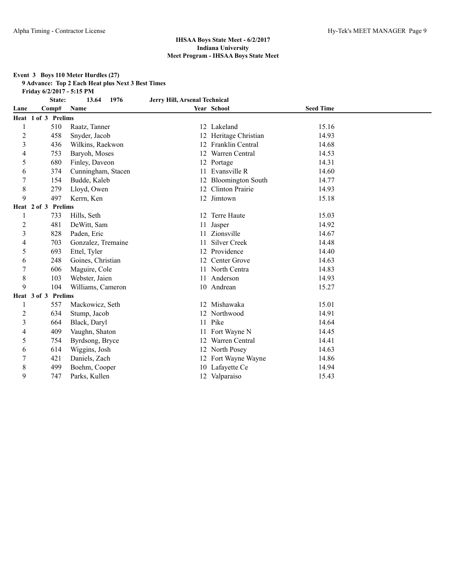#### **Event 3 Boys 110 Meter Hurdles (27)**

**9 Advance: Top 2 Each Heat plus Next 3 Best Times**

**Friday 6/2/2017 - 5:15 PM**

| <b>State:</b> | 13.64 1976 | Jerry Hill, Arsenal Technical |
|---------------|------------|-------------------------------|

| Lane                    | Comp#               | <b>Name</b>        |    | Year School             | <b>Seed Time</b> |
|-------------------------|---------------------|--------------------|----|-------------------------|------------------|
|                         | Heat 1 of 3 Prelims |                    |    |                         |                  |
| 1                       | 510                 | Raatz, Tanner      |    | 12 Lakeland             | 15.16            |
| $\overline{2}$          | 458                 | Snyder, Jacob      |    | 12 Heritage Christian   | 14.93            |
| $\overline{\mathbf{3}}$ | 436                 | Wilkins, Raekwon   | 12 | <b>Franklin Central</b> | 14.68            |
| 4                       | 753                 | Baryoh, Moses      | 12 | Warren Central          | 14.53            |
| 5                       | 680                 | Finley, Daveon     |    | 12 Portage              | 14.31            |
| 6                       | 374                 | Cunningham, Stacen | 11 | Evansville R            | 14.60            |
| 7                       | 154                 | Budde, Kaleb       |    | 12 Bloomington South    | 14.77            |
| $\,$ 8 $\,$             | 279                 | Lloyd, Owen        | 12 | <b>Clinton Prairie</b>  | 14.93            |
| 9                       | 497                 | Kerrn, Ken         |    | 12 Jimtown              | 15.18            |
|                         | Heat 2 of 3 Prelims |                    |    |                         |                  |
| 1                       | 733                 | Hills, Seth        |    | 12 Terre Haute          | 15.03            |
| $\overline{2}$          | 481                 | DeWitt, Sam        | 11 | Jasper                  | 14.92            |
| $\overline{\mathbf{3}}$ | 828                 | Paden, Eric        | 11 | Zionsville              | 14.67            |
| 4                       | 703                 | Gonzalez, Tremaine | 11 | <b>Silver Creek</b>     | 14.48            |
| 5                       | 693                 | Ettel, Tyler       |    | 12 Providence           | 14.40            |
| 6                       | 248                 | Goines, Christian  | 12 | Center Grove            | 14.63            |
| $\overline{7}$          | 606                 | Maguire, Cole      |    | 11 North Centra         | 14.83            |
| $\,$ 8 $\,$             | 103                 | Webster, Jaien     |    | 11 Anderson             | 14.93            |
| 9                       | 104                 | Williams, Cameron  |    | 10 Andrean              | 15.27            |
|                         | Heat 3 of 3 Prelims |                    |    |                         |                  |
| 1                       | 557                 | Mackowicz, Seth    |    | 12 Mishawaka            | 15.01            |
| $\overline{c}$          | 634                 | Stump, Jacob       |    | 12 Northwood            | 14.91            |
| $\overline{\mathbf{3}}$ | 664                 | Black, Daryl       | 11 | Pike                    | 14.64            |
| $\overline{4}$          | 409                 | Vaughn, Shaton     | 11 | Fort Wayne N            | 14.45            |
| 5                       | 754                 | Byrdsong, Bryce    | 12 | Warren Central          | 14.41            |
| 6                       | 614                 | Wiggins, Josh      |    | 12 North Posey          | 14.63            |
| 7                       | 421                 | Daniels, Zach      | 12 | Fort Wayne Wayne        | 14.86            |
| $\,$ 8 $\,$             | 499                 | Boehm, Cooper      |    | 10 Lafayette Ce         | 14.94            |
| 9                       | 747                 | Parks, Kullen      |    | 12 Valparaiso           | 15.43            |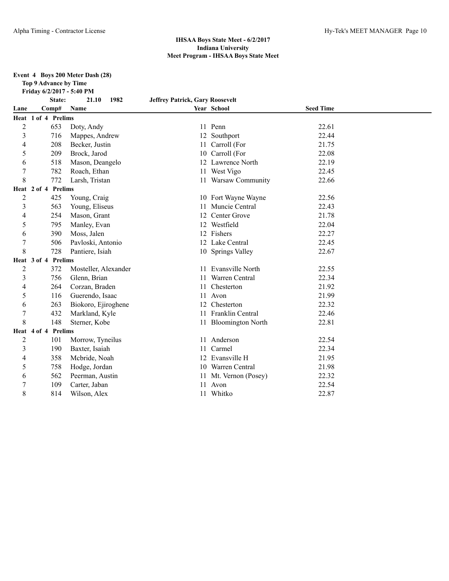**Event 4 Boys 200 Meter Dash (28)**

**Top 9 Advance by Time**

**Friday 6/2/2017 - 5:40 PM**

|                | State:              | 1982<br>21.10        | <b>Jeffrey Patrick, Gary Roosevelt</b> |                       |                  |  |
|----------------|---------------------|----------------------|----------------------------------------|-----------------------|------------------|--|
| Lane           | Comp#               | Name                 |                                        | Year School           | <b>Seed Time</b> |  |
|                | Heat 1 of 4 Prelims |                      |                                        |                       |                  |  |
| $\overline{2}$ | 653                 | Doty, Andy           |                                        | 11 Penn               | 22.61            |  |
| 3              | 716                 | Mappes, Andrew       |                                        | 12 Southport          | 22.44            |  |
| 4              | 208                 | Becker, Justin       |                                        | 11 Carroll (For       | 21.75            |  |
| 5              | 209                 | Brock, Jarod         |                                        | 10 Carroll (For       | 22.08            |  |
| 6              | 518                 | Mason, Deangelo      |                                        | 12 Lawrence North     | 22.19            |  |
| 7              | 782                 | Roach, Ethan         |                                        | 11 West Vigo          | 22.45            |  |
| 8              | 772                 | Larsh, Tristan       |                                        | 11 Warsaw Community   | 22.66            |  |
|                | Heat 2 of 4 Prelims |                      |                                        |                       |                  |  |
| $\overline{2}$ | 425                 | Young, Craig         |                                        | 10 Fort Wayne Wayne   | 22.56            |  |
| 3              | 563                 | Young, Eliseus       | 11                                     | Muncie Central        | 22.43            |  |
| 4              | 254                 | Mason, Grant         |                                        | 12 Center Grove       | 21.78            |  |
| 5              | 795                 | Manley, Evan         |                                        | 12 Westfield          | 22.04            |  |
| 6              | 390                 | Moss, Jalen          |                                        | 12 Fishers            | 22.27            |  |
| 7              | 506                 | Pavloski, Antonio    |                                        | 12 Lake Central       | 22.45            |  |
| 8              | 728                 | Pantiere, Isiah      |                                        | 10 Springs Valley     | 22.67            |  |
|                | Heat 3 of 4 Prelims |                      |                                        |                       |                  |  |
| $\overline{c}$ | 372                 | Mosteller, Alexander |                                        | 11 Evansville North   | 22.55            |  |
| 3              | 756                 | Glenn, Brian         | 11                                     | Warren Central        | 22.34            |  |
| 4              | 264                 | Corzan, Braden       |                                        | Chesterton            | 21.92            |  |
| 5              | 116                 | Guerendo, Isaac      | 11                                     | Avon                  | 21.99            |  |
| 6              | 263                 | Biokoro, Ejiroghene  |                                        | 12 Chesterton         | 22.32            |  |
| $\overline{7}$ | 432                 | Markland, Kyle       | 11                                     | Franklin Central      | 22.46            |  |
| 8              | 148                 | Sterner, Kobe        |                                        | 11 Bloomington North  | 22.81            |  |
|                | Heat 4 of 4 Prelims |                      |                                        |                       |                  |  |
| $\overline{c}$ | 101                 | Morrow, Tyneilus     | 11                                     | Anderson              | 22.54            |  |
| 3              | 190                 | Baxter, Isaiah       |                                        | Carmel                | 22.34            |  |
| 4              | 358                 | Mcbride, Noah        |                                        | 12 Evansville H       | 21.95            |  |
| 5              | 758                 | Hodge, Jordan        |                                        | 10 Warren Central     | 21.98            |  |
| 6              | 562                 | Peerman, Austin      |                                        | 11 Mt. Vernon (Posey) | 22.32            |  |
| 7              | 109                 | Carter, Jaban        | 11                                     | Avon                  | 22.54            |  |
| 8              | 814                 | Wilson, Alex         |                                        | 11 Whitko             | 22.87            |  |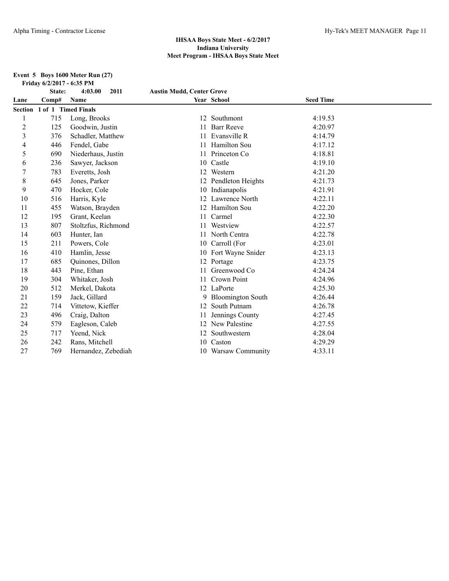#### **Event 5 Boys 1600 Meter Run (27) Friday 6/2/2017 - 6:35 PM**

|                | State:              | 4:03.00<br>2011     | <b>Austin Mudd, Center Grove</b> |                          |                  |  |
|----------------|---------------------|---------------------|----------------------------------|--------------------------|------------------|--|
| Lane           | Comp#               | <b>Name</b>         |                                  | Year School              | <b>Seed Time</b> |  |
| <b>Section</b> | 1 of 1 Timed Finals |                     |                                  |                          |                  |  |
|                | 715                 | Long, Brooks        | 12                               | Southmont                | 4:19.53          |  |
| $\overline{c}$ | 125                 | Goodwin, Justin     |                                  | <b>Barr Reeve</b>        | 4:20.97          |  |
| 3              | 376                 | Schadler, Matthew   |                                  | Evansville R             | 4:14.79          |  |
| 4              | 446                 | Fendel, Gabe        |                                  | <b>Hamilton Sou</b>      | 4:17.12          |  |
| 5              | 690                 | Niederhaus, Justin  |                                  | Princeton Co             | 4:18.81          |  |
| 6              | 236                 | Sawyer, Jackson     | 10                               | Castle                   | 4:19.10          |  |
|                | 783                 | Everetts, Josh      |                                  | 12 Western               | 4:21.20          |  |
| 8              | 645                 | Jones, Parker       |                                  | 12 Pendleton Heights     | 4:21.73          |  |
| 9              | 470                 | Hocker, Cole        |                                  | 10 Indianapolis          | 4:21.91          |  |
| 10             | 516                 | Harris, Kyle        |                                  | 12 Lawrence North        | 4:22.11          |  |
| 11             | 455                 | Watson, Brayden     |                                  | 12 Hamilton Sou          | 4:22.20          |  |
| 12             | 195                 | Grant, Keelan       | 11                               | Carmel                   | 4:22.30          |  |
| 13             | 807                 | Stoltzfus, Richmond |                                  | Westview                 | 4:22.57          |  |
| 14             | 603                 | Hunter, Ian         |                                  | North Centra             | 4:22.78          |  |
| 15             | 211                 | Powers, Cole        | 10                               | Carroll (For             | 4:23.01          |  |
| 16             | 410                 | Hamlin, Jesse       |                                  | 10 Fort Wayne Snider     | 4:23.13          |  |
| 17             | 685                 | Quinones, Dillon    |                                  | 12 Portage               | 4:23.75          |  |
| 18             | 443                 | Pine, Ethan         |                                  | Greenwood Co             | 4:24.24          |  |
| 19             | 304                 | Whitaker, Josh      | 11                               | Crown Point              | 4:24.96          |  |
| 20             | 512                 | Merkel, Dakota      |                                  | 12 LaPorte               | 4:25.30          |  |
| 21             | 159                 | Jack, Gillard       | 9                                | <b>Bloomington South</b> | 4:26.44          |  |
| 22             | 714                 | Vittetow, Kieffer   | 12                               | South Putnam             | 4:26.78          |  |
| 23             | 496                 | Craig, Dalton       |                                  | Jennings County          | 4:27.45          |  |
| 24             | 579                 | Eagleson, Caleb     | 12                               | New Palestine            | 4:27.55          |  |
| 25             | 717                 | Yeend, Nick         |                                  | Southwestern             | 4:28.04          |  |
| 26             | 242                 | Rans, Mitchell      | 10                               | Caston                   | 4:29.29          |  |
| 27             | 769                 | Hernandez, Zebediah |                                  | 10 Warsaw Community      | 4:33.11          |  |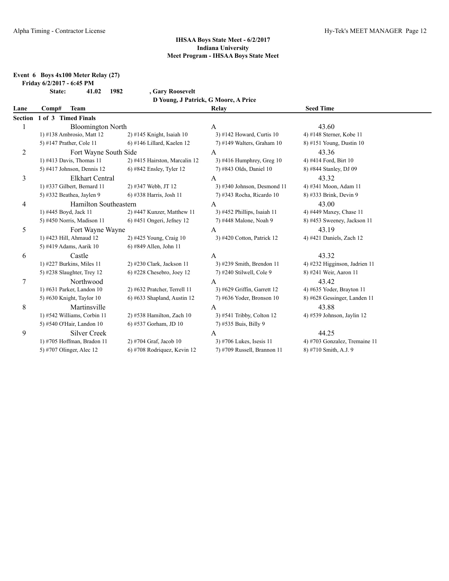## **Event 6 Boys 4x100 Meter Relay (27)**

**Friday 6/2/2017 - 6:45 PM**

|      | <b>State:</b> | 41.02 | 1982 | , Gary Roosevelt                     |                  |
|------|---------------|-------|------|--------------------------------------|------------------|
|      |               |       |      | D Young, J Patrick, G Moore, A Price |                  |
| Lane | Comp#         | Team  |      | Relay                                | <b>Seed Time</b> |
|      |               |       |      |                                      |                  |

|   | Section 1 of 3 Timed Finals  |                               |                               |                               |
|---|------------------------------|-------------------------------|-------------------------------|-------------------------------|
|   | <b>Bloomington North</b>     |                               | A                             | 43.60                         |
|   | 1) $\#138$ Ambrosio, Matt 12 | $2)$ #145 Knight, Isaiah 10   | 3) #142 Howard, Curtis 10     | 4) #148 Sterner, Kobe 11      |
|   | 5) #147 Prather, Cole 11     | $6$ ) #146 Lillard, Kaelen 12 | $7)$ #149 Walters, Graham 10  | 8) #151 Young, Dustin 10      |
| 2 | Fort Wayne South Side        |                               | A                             | 43.36                         |
|   | 1) #413 Davis, Thomas 11     | 2) #415 Hairston, Marcalin 12 | 3) #416 Humphrey, Greg $10$   | 4) #414 Ford, Birt 10         |
|   | 5) #417 Johnson, Dennis $12$ | 6) #842 Ensley, Tyler 12      | 7) #843 Olds, Daniel 10       | 8) #844 Stanley, DJ 09        |
| 3 | <b>Elkhart Central</b>       |                               | A                             | 43.32                         |
|   | 1) #337 Gilbert, Bernard 11  | 2) #347 Webb, JT 12           | $3)$ #340 Johnson, Desmond 11 | 4) #341 Moon, Adam 11         |
|   | 5) #332 Beathea, Jaylen 9    | 6) #338 Harris, Josh 11       | 7) #343 Rocha, Ricardo 10     | 8) #333 Brink, Devin 9        |
| 4 | <b>Hamilton Southeastern</b> |                               | A                             | 43.00                         |
|   | 1) #445 Boyd, Jack 11        | 2) #447 Kunzer, Matthew 11    | $3)$ #452 Phillips, Isaiah 11 | 4) #449 Maxey, Chase 11       |
|   | 5) #450 Norris, Madison 11   | $6)$ #451 Ongeri, Jefney 12   | 7) #448 Malone, Noah 9        | 8) #453 Sweeney, Jackson 11   |
| 5 | Fort Wayne Wayne             |                               | A                             | 43.19                         |
|   | 1) #423 Hill, Ahmaud 12      | $2)$ #425 Young, Craig 10     | 3) #420 Cotton, Patrick 12    | 4) #421 Daniels, Zach 12      |
|   | 5) #419 Adams, Aarik 10      | 6) #849 Allen, John 11        |                               |                               |
| 6 | Castle                       |                               | A                             | 43.32                         |
|   | 1) $\#227$ Burkins, Miles 11 | 2) #230 Clark, Jackson 11     | 3) #239 Smith, Brendon 11     | 4) #232 Higginson, Jadrien 11 |
|   | 5) #238 Slaughter, Trey $12$ | $6)$ #228 Chesebro, Joey 12   | 7) #240 Stilwell, Cole 9      | 8) #241 Weir, Aaron 11        |
| 7 | Northwood                    |                               | A                             | 43.42                         |
|   | 1) $\#631$ Parker, Landon 10 | 2) #632 Pratcher, Terrell 11  | 3) #629 Griffin, Garrett 12   | 4) #635 Yoder, Brayton 11     |
|   | 5) #630 Knight, Taylor $10$  | 6) #633 Shapland, Austin 12   | 7) #636 Yoder, Bronson 10     | 8) #628 Gessinger, Landen 11  |
| 8 | Martinsville                 |                               | A                             | 43.88                         |
|   | 1) #542 Williams, Corbin 11  | $2)$ #538 Hamilton, Zach 10   | 3) #541 Tribby, Colton 12     | 4) #539 Johnson, Jaylin 12    |
|   | 5) #540 O'Hair, Landon 10    | 6) #537 Gorham, JD 10         | 7) #535 Buis, Billy 9         |                               |
| 9 | Silver Creek                 |                               | A                             | 44.25                         |
|   | 1) #705 Hoffman, Bradon 11   | 2) #704 Graf, Jacob 10        | 3) #706 Lukes, Isesis 11      | 4) #703 Gonzalez, Tremaine 11 |
|   | 5) #707 Olinger, Alec 12     | 6) #708 Rodriguez, Kevin 12   | 7) #709 Russell, Brannon 11   | 8) #710 Smith, A.J. 9         |
|   |                              |                               |                               |                               |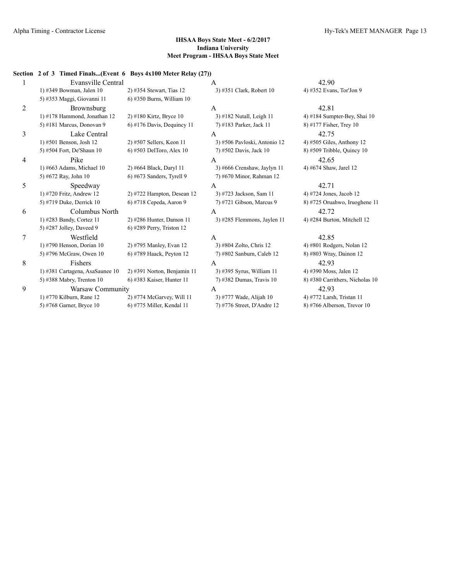#### **Section 2 of 3 Timed Finals...(Event 6 Boys 4x100 Meter Relay (27))**

| 1              | <b>Evansville Central</b>       |                               | A                            | 42.90                           |
|----------------|---------------------------------|-------------------------------|------------------------------|---------------------------------|
|                | 1) #349 Bowman, Jalen 10        | 2) #354 Stewart, Tias 12      | 3) #351 Clark, Robert 10     | 4) #352 Evans, Tor'Jon 9        |
|                | 5) #353 Maggi, Giovanni 11      | $(6)$ #350 Burns, William 10  |                              |                                 |
| $\overline{2}$ | Brownsburg                      |                               | A                            | 42.81                           |
|                | $1)$ #178 Hammond, Jonathan 12  | $2)$ #180 Kirtz, Bryce 10     | 3) #182 Nutall, Leigh 11     | 4) #184 Sumpter-Bey, Shai $10$  |
|                | 5) #181 Marcus, Donovan 9       | $6$ ) #176 Davis, Dequincy 11 | 7) #183 Parker, Jack 11      | 8) #177 Fisher, Trey 10         |
| 3              | Lake Central                    |                               | A                            | 42.75                           |
|                | 1) #501 Benson, Josh 12         | 2) #507 Sellers, Keon 11      | 3) #506 Pavloski, Antonio 12 | 4) #505 Giles, Anthony 12       |
|                | 5) #504 Fort, De'Shaun 10       | 6) #503 DelToro, Alex 10      | 7) #502 Davis, Jack 10       | $8)$ #509 Tribble, Quincy 10    |
| $\overline{4}$ | Pike                            |                               | A                            | 42.65                           |
|                | 1) #663 Adams, Michael 10       | 2) #664 Black, Daryl 11       | 3) #666 Crenshaw, Jaylyn 11  | 4) #674 Shaw, Jarel 12          |
|                | 5) #672 Ray, John 10            | $6$ ) #673 Sanders, Tyrell 9  | 7) #670 Minor, Rahman 12     |                                 |
| 5              | Speedway                        |                               | A                            | 42.71                           |
|                | 1) #720 Fritz, Andrew 12        | 2) #722 Hampton, Desean 12    | 3) #723 Jackson, Sam 11      | 4) #724 Jones, Jacob 12         |
|                | 5) #719 Duke, Derrick 10        | 6) #718 Cepeda, Aaron 9       | 7) #721 Gibson, Marcus 9     | 8) #725 Oruahwo, Iruoghene 11   |
| 6              | Columbus North                  |                               | A                            | 42.72                           |
|                | 1) #283 Bandy, Cortez 11        | 2) #286 Hunter, Damon 11      | 3) #285 Flemmons, Jaylen 11  | 4) #284 Burton, Mitchell 12     |
|                | 5) #287 Jolley, Daveed 9        | $6$ ) #289 Perry, Triston 12  |                              |                                 |
| 7              | Westfield                       |                               | $\mathsf{A}$                 | 42.85                           |
|                | 1) #790 Henson, Dorian 10       | 2) #795 Manley, Evan 12       | 3) #804 Zolto, Chris 12      | 4) #801 Rodgers, Nolan 12       |
|                | 5) #796 McGraw, Owen 10         | 6) #789 Haack, Peyton 12      | 7) #802 Sanburn, Caleb 12    | 8) #803 Wray, Dainon 12         |
| 8              | <b>Fishers</b>                  |                               | A                            | 42.93                           |
|                | 1) #381 Cartagena, AsaSaunee 10 | $2)$ #391 Norton, Benjamin 11 | 3) #395 Syrus, William 11    | 4) #390 Moss, Jalen 12          |
|                | 5) #388 Mabry, Trenton 10       | 6) #383 Kaiser, Hunter 11     | 7) #382 Dumas, Travis 10     | 8) #380 Carrithers, Nicholas 10 |
| 9              | Warsaw Community                |                               | A                            | 42.93                           |
|                | 1) #770 Kilburn, Rane 12        | $2)$ #774 McGarvey, Will 11   | 3) #777 Wade, Alijah 10      | 4) #772 Larsh, Tristan 11       |
|                | 5) #768 Garner, Bryce 10        | 6) #775 Miller, Kendal 11     | 7) #776 Street, D'Andre 12   | $8)$ #766 Alberson, Trevor 10   |
|                |                                 |                               |                              |                                 |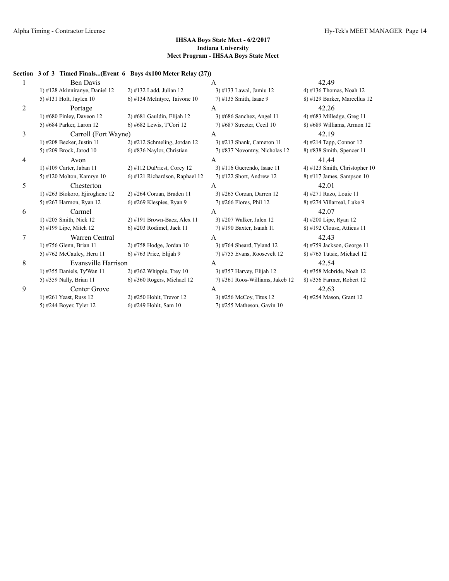#### **Section 3 of 3 Timed Finals...(Event 6 Boys 4x100 Meter Relay (27))**

| 1              | <b>Ben Davis</b>               |                                 | A                               | 42.49                         |
|----------------|--------------------------------|---------------------------------|---------------------------------|-------------------------------|
|                | 1) #128 Akinniranye, Daniel 12 | 2) #132 Ladd, Julian 12         | 3) #133 Lawal, Jamiu 12         | 4) #136 Thomas, Noah 12       |
|                | 5) #131 Holt, Jaylen 10        | $6$ ) #134 McIntyre, Taivone 10 | 7) #135 Smith, Isaac 9          | 8) #129 Barker, Marcellus 12  |
| $\overline{2}$ | Portage                        |                                 | A                               | 42.26                         |
|                | 1) #680 Finley, Daveon $12$    | $2)$ #681 Gauldin, Elijah 12    | 3) #686 Sanchez, Angel 11       | 4) #683 Milledge, Greg $11$   |
|                | 5) #684 Parker, Laron 12       | 6) #682 Lewis, T'Cori 12        | 7) #687 Streeter, Cecil 10      | 8) #689 Williams, Armon 12    |
| 3              | Carroll (Fort Wayne)           |                                 | A                               | 42.19                         |
|                | 1) #208 Becker, Justin 11      | $2)$ #212 Schmeling, Jordan 12  | 3) #213 Shank, Cameron 11       | 4) #214 Tapp, Connor 12       |
|                | 5) #209 Brock, Jarod 10        | 6) #836 Naylor, Christian       | 7) #837 Novontny, Nicholas 12   | 8) #838 Smith, Spencer 11     |
| 4              | Avon                           |                                 | A                               | 41.44                         |
|                | 1) #109 Carter, Jaban 11       | $2)$ #112 DuPriest, Corey 12    | 3) #116 Guerendo, Isaac 11      | 4) #123 Smith, Christopher 10 |
|                | 5) #120 Molton, Kamryn 10      | 6) #121 Richardson, Raphael 12  | 7) #122 Short, Andrew 12        | $8)$ #117 James, Sampson 10   |
| 5              | Chesterton                     |                                 | A                               | 42.01                         |
|                | 1) #263 Biokoro, Ejiroghene 12 | 2) #264 Corzan, Braden 11       | 3) #265 Corzan, Darren 12       | 4) #271 Razo, Louie 11        |
|                | 5) #267 Harmon, Ryan 12        | $6$ ) #269 Klespies, Ryan 9     | 7) #266 Flores, Phil 12         | 8) #274 Villarreal, Luke 9    |
| 6              | Carmel                         |                                 | A                               | 42.07                         |
|                | 1) #205 Smith, Nick 12         | 2) #191 Brown-Baez, Alex 11     | 3) #207 Walker, Jalen 12        | 4) #200 Lipe, Ryan 12         |
|                | 5) #199 Lipe, Mitch 12         | 6) #203 Rodimel, Jack 11        | 7) #190 Baxter, Isaiah 11       | 8) #192 Clouse, Atticus 11    |
| 7              | Warren Central                 |                                 | $\overline{A}$                  | 42.43                         |
|                | 1) #756 Glenn, Brian 11        | 2) #758 Hodge, Jordan 10        | 3) #764 Sheard, Tyland 12       | 4) #759 Jackson, George 11    |
|                | 5) #762 McCauley, Heru 11      | 6) #763 Price, Elijah 9         | 7) #755 Evans, Roosevelt 12     | 8) #765 Tutsie, Michael 12    |
| 8              | Evansville Harrison            |                                 | A                               | 42.54                         |
|                | 1) #355 Daniels, Ty'Wan 11     | $2)$ #362 Whipple, Trey 10      | 3) #357 Harvey, Elijah 12       | 4) #358 Mebride, Noah 12      |
|                | 5) #359 Nally, Brian 11        | $6$ ) #360 Rogers, Michael 12   | 7) #361 Roos-Williams, Jakeb 12 | 8) #356 Farmer, Robert 12     |
| 9              | Center Grove                   |                                 | A                               | 42.63                         |
|                | 1) #261 Yeast, Russ 12         | 2) #250 Hohlt, Trevor 12        | 3) #256 McCoy, Titus 12         | 4) #254 Mason, Grant 12       |
|                | 5) #244 Boyer, Tyler 12        | 6) #249 Hohlt, Sam 10           | 7) #255 Matheson, Gavin 10      |                               |
|                |                                |                                 |                                 |                               |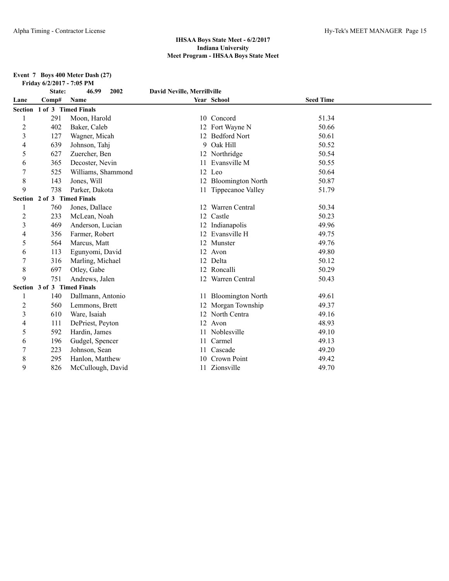#### **Event 7 Boys 400 Meter Dash (27) Friday 6/2/2017 - 7:05 PM**

|                | State:                      | 46.99<br>2002      | David Neville, Merrillville |                          |                  |  |
|----------------|-----------------------------|--------------------|-----------------------------|--------------------------|------------------|--|
| Lane           | Comp#                       | Name               |                             | Year School              | <b>Seed Time</b> |  |
|                | Section 1 of 3 Timed Finals |                    |                             |                          |                  |  |
| 1              | 291                         | Moon, Harold       |                             | 10 Concord               | 51.34            |  |
| $\overline{2}$ | 402                         | Baker, Caleb       |                             | 12 Fort Wayne N          | 50.66            |  |
| 3              | 127                         | Wagner, Micah      |                             | 12 Bedford Nort          | 50.61            |  |
| 4              | 639                         | Johnson, Tahj      | 9                           | Oak Hill                 | 50.52            |  |
| 5              | 627                         | Zuercher, Ben      |                             | 12 Northridge            | 50.54            |  |
| 6              | 365                         | Decoster, Nevin    |                             | 11 Evansville M          | 50.55            |  |
|                | 525                         | Williams, Shammond |                             | 12 Leo                   | 50.64            |  |
| 8              | 143                         | Jones, Will        | 12                          | <b>Bloomington North</b> | 50.87            |  |
| 9              | 738                         | Parker, Dakota     |                             | 11 Tippecanoe Valley     | 51.79            |  |
|                | Section 2 of 3 Timed Finals |                    |                             |                          |                  |  |
|                | 760                         | Jones, Dallace     | 12                          | Warren Central           | 50.34            |  |
| $\overline{c}$ | 233                         | McLean, Noah       | 12                          | Castle                   | 50.23            |  |
| 3              | 469                         | Anderson, Lucian   |                             | Indianapolis             | 49.96            |  |
| 4              | 356                         | Farmer, Robert     |                             | 12 Evansville H          | 49.75            |  |
| 5              | 564                         | Marcus, Matt       |                             | 12 Munster               | 49.76            |  |
| 6              | 113                         | Egunyomi, David    |                             | 12 Avon                  | 49.80            |  |
| 7              | 316                         | Marling, Michael   | 12                          | Delta                    | 50.12            |  |
| 8              | 697                         | Otley, Gabe        | 12                          | Roncalli                 | 50.29            |  |
| 9              | 751                         | Andrews, Jalen     | 12                          | Warren Central           | 50.43            |  |
|                | Section 3 of 3 Timed Finals |                    |                             |                          |                  |  |
|                | 140                         | Dallmann, Antonio  |                             | 11 Bloomington North     | 49.61            |  |
| 2              | 560                         | Lemmons, Brett     |                             | Morgan Township          | 49.37            |  |
| 3              | 610                         | Ware, Isaiah       |                             | 12 North Centra          | 49.16            |  |
| 4              | 111                         | DePriest, Peyton   |                             | 12 Avon                  | 48.93            |  |
| 5              | 592                         | Hardin, James      |                             | 11 Noblesville           | 49.10            |  |
| 6              | 196                         | Gudgel, Spencer    | 11                          | Carmel                   | 49.13            |  |
| 7              | 223                         | Johnson, Sean      |                             | Cascade                  | 49.20            |  |
| 8              | 295                         | Hanlon, Matthew    | 10                          | Crown Point              | 49.42            |  |
| 9              | 826                         | McCullough, David  | 11                          | Zionsville               | 49.70            |  |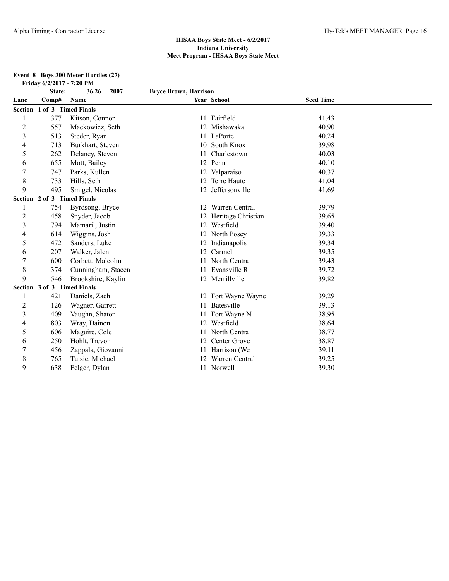#### **Event 8 Boys 300 Meter Hurdles (27) Friday 6/2/2017 - 7:20 PM**

| State: | 36.26<br>2007      |                                                                                   |                    |                                                                                                                                                                                                                                                        |  |
|--------|--------------------|-----------------------------------------------------------------------------------|--------------------|--------------------------------------------------------------------------------------------------------------------------------------------------------------------------------------------------------------------------------------------------------|--|
| Comp#  | Name               |                                                                                   |                    | <b>Seed Time</b>                                                                                                                                                                                                                                       |  |
|        |                    |                                                                                   |                    |                                                                                                                                                                                                                                                        |  |
| 377    | Kitson, Connor     |                                                                                   |                    | 41.43                                                                                                                                                                                                                                                  |  |
| 557    | Mackowicz, Seth    |                                                                                   | Mishawaka          | 40.90                                                                                                                                                                                                                                                  |  |
| 513    | Steder, Ryan       |                                                                                   |                    | 40.24                                                                                                                                                                                                                                                  |  |
| 713    | Burkhart, Steven   |                                                                                   | South Knox         | 39.98                                                                                                                                                                                                                                                  |  |
| 262    | Delaney, Steven    |                                                                                   | Charlestown        | 40.03                                                                                                                                                                                                                                                  |  |
| 655    | Mott, Bailey       |                                                                                   |                    | 40.10                                                                                                                                                                                                                                                  |  |
| 747    | Parks, Kullen      |                                                                                   |                    | 40.37                                                                                                                                                                                                                                                  |  |
| 733    | Hills, Seth        |                                                                                   | <b>Terre Haute</b> | 41.04                                                                                                                                                                                                                                                  |  |
| 495    | Smigel, Nicolas    |                                                                                   | Jeffersonville     | 41.69                                                                                                                                                                                                                                                  |  |
|        |                    |                                                                                   |                    |                                                                                                                                                                                                                                                        |  |
| 754    | Byrdsong, Bryce    |                                                                                   | Warren Central     | 39.79                                                                                                                                                                                                                                                  |  |
| 458    | Snyder, Jacob      | 12                                                                                | Heritage Christian | 39.65                                                                                                                                                                                                                                                  |  |
| 794    | Mamaril, Justin    |                                                                                   | Westfield          | 39.40                                                                                                                                                                                                                                                  |  |
| 614    | Wiggins, Josh      |                                                                                   |                    | 39.33                                                                                                                                                                                                                                                  |  |
| 472    | Sanders, Luke      |                                                                                   | Indianapolis       | 39.34                                                                                                                                                                                                                                                  |  |
| 207    | Walker, Jalen      | 12                                                                                | Carmel             | 39.35                                                                                                                                                                                                                                                  |  |
| 600    | Corbett, Malcolm   |                                                                                   | North Centra       | 39.43                                                                                                                                                                                                                                                  |  |
| 374    | Cunningham, Stacen | 11                                                                                | Evansville R       | 39.72                                                                                                                                                                                                                                                  |  |
| 546    | Brookshire, Kaylin |                                                                                   |                    | 39.82                                                                                                                                                                                                                                                  |  |
|        |                    |                                                                                   |                    |                                                                                                                                                                                                                                                        |  |
| 421    | Daniels, Zach      |                                                                                   |                    | 39.29                                                                                                                                                                                                                                                  |  |
| 126    | Wagner, Garrett    |                                                                                   | Batesville         | 39.13                                                                                                                                                                                                                                                  |  |
| 409    | Vaughn, Shaton     |                                                                                   |                    | 38.95                                                                                                                                                                                                                                                  |  |
| 803    | Wray, Dainon       |                                                                                   | Westfield          | 38.64                                                                                                                                                                                                                                                  |  |
| 606    | Maguire, Cole      |                                                                                   | North Centra       | 38.77                                                                                                                                                                                                                                                  |  |
| 250    | Hohlt, Trevor      |                                                                                   | Center Grove       | 38.87                                                                                                                                                                                                                                                  |  |
| 456    | Zappala, Giovanni  |                                                                                   |                    | 39.11                                                                                                                                                                                                                                                  |  |
| 765    | Tutsie, Michael    |                                                                                   | Warren Central     | 39.25                                                                                                                                                                                                                                                  |  |
| 638    | Felger, Dylan      |                                                                                   |                    | 39.30                                                                                                                                                                                                                                                  |  |
|        |                    | 1 of 3 Timed Finals<br>Section 2 of 3 Timed Finals<br>Section 3 of 3 Timed Finals |                    | <b>Bryce Brown, Harrison</b><br>Year School<br>11 Fairfield<br>11 LaPorte<br>10<br>12 Penn<br>12 Valparaiso<br>12<br>12<br>12<br>12 North Posey<br>12<br>12 Merrillville<br>12 Fort Wayne Wayne<br>11 Fort Wayne N<br>12<br>Harrison (We<br>11 Norwell |  |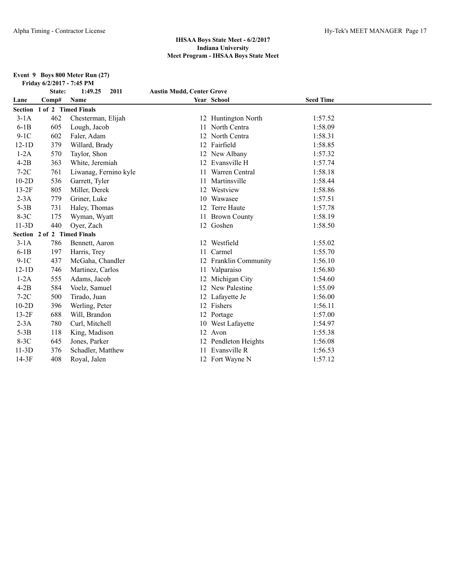#### **Event 9 Boys 800 Meter Run (27) Friday 6/2/2017 - 7:45 PM**

|         | State:                      | 1:49.25<br>2011       | <b>Austin Mudd, Center Grove</b> |                       |                  |  |
|---------|-----------------------------|-----------------------|----------------------------------|-----------------------|------------------|--|
| Lane    | Comp#                       | Name                  |                                  | Year School           | <b>Seed Time</b> |  |
|         | Section 1 of 2 Timed Finals |                       |                                  |                       |                  |  |
| $3-1A$  | 462                         | Chesterman, Elijah    |                                  | 12 Huntington North   | 1:57.52          |  |
| $6-1B$  | 605                         | Lough, Jacob          | 11                               | North Centra          | 1:58.09          |  |
| $9-1C$  | 602                         | Faler, Adam           | 12                               | North Centra          | 1:58.31          |  |
| $12-1D$ | 379                         | Willard, Brady        |                                  | 12 Fairfield          | 1:58.85          |  |
| $1-2A$  | 570                         | Taylor, Shon          |                                  | 12 New Albany         | 1:57.32          |  |
| $4-2B$  | 363                         | White, Jeremiah       |                                  | 12 Evansville H       | 1:57.74          |  |
| $7-2C$  | 761                         | Liwanag, Fernino kyle |                                  | Warren Central        | 1:58.18          |  |
| $10-2D$ | 536                         | Garrett, Tyler        |                                  | Martinsville          | 1:58.44          |  |
| $13-2F$ | 805                         | Miller, Derek         | 12                               | Westview              | 1:58.86          |  |
| $2-3A$  | 779                         | Griner, Luke          | 10                               | Wawasee               | 1:57.51          |  |
| $5-3B$  | 731                         | Haley, Thomas         | 12                               | Terre Haute           | 1:57.78          |  |
| $8-3C$  | 175                         | Wyman, Wyatt          |                                  | 11 Brown County       | 1:58.19          |  |
| $11-3D$ | 440                         | Oyer, Zach            |                                  | 12 Goshen             | 1:58.50          |  |
|         | Section 2 of 2 Timed Finals |                       |                                  |                       |                  |  |
| $3-1A$  | 786                         | Bennett, Aaron        | 12                               | Westfield             | 1:55.02          |  |
| $6-1B$  | 197                         | Harris, Trey          | 11                               | Carmel                | 1:55.70          |  |
| $9-1C$  | 437                         | McGaha, Chandler      |                                  | 12 Franklin Community | 1:56.10          |  |
| $12-1D$ | 746                         | Martinez, Carlos      |                                  | 11 Valparaiso         | 1:56.80          |  |
| $1-2A$  | 555                         | Adams, Jacob          | 12                               | Michigan City         | 1:54.60          |  |
| $4-2B$  | 584                         | Voelz, Samuel         | 12                               | New Palestine         | 1:55.09          |  |
| $7-2C$  | 500                         | Tirado, Juan          |                                  | 12 Lafayette Je       | 1:56.00          |  |
| $10-2D$ | 396                         | Werling, Peter        |                                  | 12 Fishers            | 1:56.11          |  |
| $13-2F$ | 688                         | Will, Brandon         |                                  | 12 Portage            | 1:57.00          |  |
| $2-3A$  | 780                         | Curl, Mitchell        |                                  | 10 West Lafayette     | 1:54.97          |  |
| $5-3B$  | 118                         | King, Madison         |                                  | 12 Avon               | 1:55.38          |  |
| $8-3C$  | 645                         | Jones, Parker         |                                  | 12 Pendleton Heights  | 1:56.08          |  |
| $11-3D$ | 376                         | Schadler, Matthew     |                                  | 11 Evansville R       | 1:56.53          |  |
| $14-3F$ | 408                         | Royal, Jalen          |                                  | 12 Fort Wayne N       | 1:57.12          |  |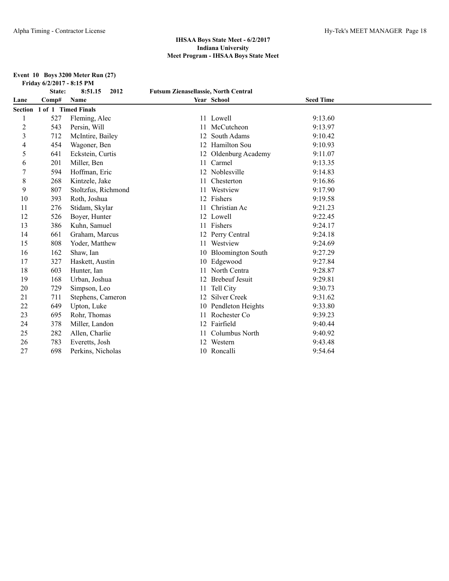#### **Event 10 Boys 3200 Meter Run (27) Friday 6/2/2017 - 8:15 PM**

|                | State:                      | 8:51.15<br>2012     | <b>Futsum Zienasellassie, North Central</b> |                          |                  |  |
|----------------|-----------------------------|---------------------|---------------------------------------------|--------------------------|------------------|--|
| Lane           | Comp#                       | Name                |                                             | Year School              | <b>Seed Time</b> |  |
|                | Section 1 of 1 Timed Finals |                     |                                             |                          |                  |  |
| 1              | 527                         | Fleming, Alec       |                                             | 11 Lowell                | 9:13.60          |  |
| $\overline{2}$ | 543                         | Persin, Will        | 11                                          | McCutcheon               | 9:13.97          |  |
| 3              | 712                         | McIntire, Bailey    |                                             | South Adams              | 9:10.42          |  |
| 4              | 454                         | Wagoner, Ben        | 12                                          | Hamilton Sou             | 9:10.93          |  |
| 5              | 641                         | Eckstein, Curtis    |                                             | Oldenburg Academy        | 9:11.07          |  |
| 6              | 201                         | Miller, Ben         | 11                                          | Carmel                   | 9:13.35          |  |
|                | 594                         | Hoffman, Eric       |                                             | Noblesville              | 9:14.83          |  |
| 8              | 268                         | Kintzele, Jake      | 11                                          | Chesterton               | 9:16.86          |  |
| 9              | 807                         | Stoltzfus, Richmond |                                             | Westview                 | 9:17.90          |  |
| 10             | 393                         | Roth, Joshua        | 12                                          | Fishers                  | 9:19.58          |  |
| 11             | 276                         | Stidam, Skylar      |                                             | Christian Ac             | 9:21.23          |  |
| 12             | 526                         | Boyer, Hunter       |                                             | 12 Lowell                | 9:22.45          |  |
| 13             | 386                         | Kuhn, Samuel        |                                             | 11 Fishers               | 9:24.17          |  |
| 14             | 661                         | Graham, Marcus      |                                             | Perry Central            | 9:24.18          |  |
| 15             | 808                         | Yoder, Matthew      | 11                                          | Westview                 | 9:24.69          |  |
| 16             | 162                         | Shaw, Ian           | 10                                          | <b>Bloomington South</b> | 9:27.29          |  |
| 17             | 327                         | Haskett, Austin     |                                             | 10 Edgewood              | 9:27.84          |  |
| 18             | 603                         | Hunter, Ian         |                                             | North Centra             | 9:28.87          |  |
| 19             | 168                         | Urban, Joshua       |                                             | <b>Brebeuf Jesuit</b>    | 9:29.81          |  |
| 20             | 729                         | Simpson, Leo        | 11                                          | Tell City                | 9:30.73          |  |
| 21             | 711                         | Stephens, Cameron   | 12                                          | <b>Silver Creek</b>      | 9:31.62          |  |
| 22             | 649                         | Upton, Luke         |                                             | 10 Pendleton Heights     | 9:33.80          |  |
| 23             | 695                         | Rohr, Thomas        |                                             | 11 Rochester Co.         | 9:39.23          |  |
| 24             | 378                         | Miller, Landon      |                                             | 12 Fairfield             | 9:40.44          |  |
| 25             | 282                         | Allen, Charlie      |                                             | Columbus North           | 9:40.92          |  |
| 26             | 783                         | Everetts, Josh      |                                             | Western                  | 9:43.48          |  |
| 27             | 698                         | Perkins, Nicholas   |                                             | 10 Roncalli              | 9:54.64          |  |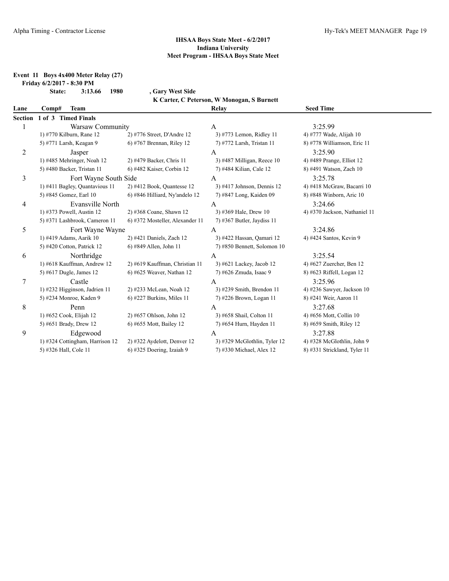**Event 11 Boys 4x400 Meter Relay (27)**

**Friday 6/2/2017 - 8:30 PM**

**State: 3:13.66 1980 , Gary West Side K Carter, C Peterson, W Monogan, S Burnett**

| Lane    | Team<br>Comp#                   |                                 | Relay                         | <b>Seed Time</b>              |  |
|---------|---------------------------------|---------------------------------|-------------------------------|-------------------------------|--|
| Section | 1 of 3 Timed Finals             |                                 |                               |                               |  |
|         | Warsaw Community                |                                 | A                             | 3:25.99                       |  |
|         | 1) #770 Kilburn, Rane 12        | $2)$ #776 Street, D'Andre 12    | 3) #773 Lemon, Ridley 11      | 4) #777 Wade, Alijah 10       |  |
|         | 5) #771 Larsh, Keagan 9         | $6$ ) #767 Brennan, Riley 12    | 7) #772 Larsh, Tristan 11     | 8) #778 Williamson, Eric 11   |  |
| 2       | Jasper                          |                                 | A                             | 3:25.90                       |  |
|         | 1) #485 Mehringer, Noah 12      | 2) #479 Backer, Chris 11        | 3) #487 Milligan, Reece $10$  | 4) #489 Prange, Elliot 12     |  |
|         | 5) #480 Backer, Tristan 11      | 6) #482 Kaiser, Corbin 12       | 7) #484 Kilian, Cale 12       | 8) #491 Watson, Zach 10       |  |
| 3       | Fort Wayne South Side           |                                 | A                             | 3:25.78                       |  |
|         | 1) #411 Bagley, Quantavious 11  | 2) #412 Book, Quantesse 12      | $3)$ #417 Johnson, Dennis 12  | 4) #418 McGraw, Bacarri 10    |  |
|         | 5) #845 Gomez, Earl 10          | 6) #846 Hilliard, Ny'andelo 12  | 7) #847 Long, Kaiden 09       | 8) #848 Winborn, Aric 10      |  |
| 4       | Evansville North                |                                 | A                             | 3:24.66                       |  |
|         | 1) #373 Powell, Austin 12       | 2) #368 Coane, Shawn 12         | 3) #369 Hale, Drew 10         | 4) #370 Jackson, Nathaniel 11 |  |
|         | 5) #371 Lashbrook, Cameron 11   | 6) #372 Mosteller, Alexander 11 | $(7)$ #367 Butler, Jaydiss 11 |                               |  |
| 5       | Fort Wayne Wayne                |                                 | A                             | 3:24.86                       |  |
|         | 1) #419 Adams, Aarik 10         | 2) #421 Daniels, Zach 12        | 3) #422 Hassan, Qamari 12     | 4) #424 Santos, Kevin 9       |  |
|         | 5) #420 Cotton, Patrick 12      | 6) #849 Allen, John 11          | 7) #850 Bennett, Solomon 10   |                               |  |
| 6       | Northridge                      |                                 | A                             | 3:25.54                       |  |
|         | 1) #618 Kauffman, Andrew 12     | 2) #619 Kauffman, Christian 11  | 3) #621 Lackey, Jacob 12      | 4) #627 Zuercher, Ben 12      |  |
|         | 5) #617 Dugle, James 12         | $6$ ) #625 Weaver, Nathan 12    | 7) #626 Zmuda, Isaac 9        | 8) #623 Riffell, Logan 12     |  |
| 7       | Castle                          |                                 | A                             | 3:25.96                       |  |
|         | 1) #232 Higginson, Jadrien 11   | 2) #233 McLean, Noah 12         | 3) #239 Smith, Brendon 11     | 4) #236 Sawyer, Jackson $10$  |  |
|         | 5) #234 Monroe, Kaden 9         | $(6)$ #227 Burkins, Miles 11    | 7) #226 Brown, Logan 11       | 8) #241 Weir, Aaron 11        |  |
| 8       | Penn                            |                                 | A                             | 3:27.68                       |  |
|         | 1) #652 Cook, Elijah 12         | 2) #657 Ohlson, John 12         | 3) #658 Shail, Colton 11      | 4) #656 Mott, Collin 10       |  |
|         | 5) #651 Brady, Drew 12          | 6) #655 Mott, Bailey 12         | 7) #654 Hurn, Hayden 11       | 8) #659 Smith, Riley 12       |  |
| 9       | Edgewood                        |                                 | A                             | 3:27.88                       |  |
|         | 1) #324 Cottingham, Harrison 12 | $2)$ #322 Aydelott, Denver 12   | 3) #329 McGlothlin, Tyler 12  | 4) #328 McGlothlin, John 9    |  |
|         | 5) #326 Hall, Cole 11           | $6$ ) #325 Doering, Izaiah 9    | 7) #330 Michael, Alex 12      | 8) #331 Strickland, Tyler 11  |  |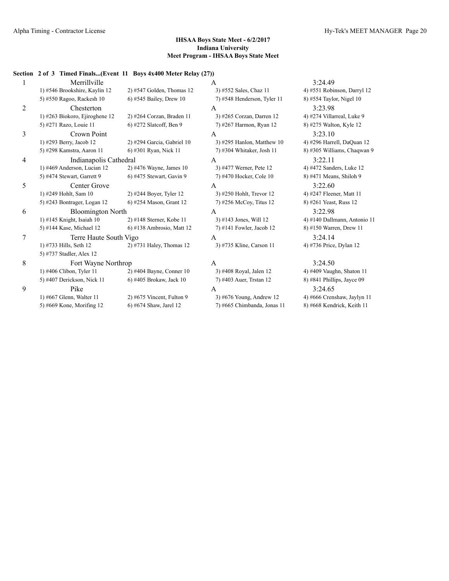#### **Section 2 of 3 Timed Finals...(Event 11 Boys 4x400 Meter Relay (27))**

| $\mathbf{1}$   | Merrillville                   |                              | $\mathsf{A}$                | 3:24.49       |
|----------------|--------------------------------|------------------------------|-----------------------------|---------------|
|                | 1) #546 Brookshire, Kaylin 12  | $2)$ #547 Golden, Thomas 12  | 3) #552 Sales, Chaz 11      | 4) #551 Robi  |
|                | 5) #550 Ragoo, Rackesh 10      | 6) #545 Bailey, Drew 10      | 7) #548 Henderson, Tyler 11 | 8) #554 Taylo |
| $\overline{c}$ | Chesterton                     |                              | A                           | 3:23.98       |
|                | 1) #263 Biokoro, Ejiroghene 12 | $2)$ #264 Corzan, Braden 11  | 3) #265 Corzan, Darren 12   | 4) #274 Villa |
|                | 5) #271 Razo, Louie 11         | 6) #272 Slatcoff, Ben 9      | 7) #267 Harmon, Ryan 12     | 8) #275 Walt  |
| $\overline{3}$ | Crown Point                    |                              | A                           | 3:23.10       |
|                | 1) #293 Berry, Jacob 12        | $2)$ #294 Garcia, Gabriel 10 | 3) #295 Hanlon, Matthew 10  | 4) #296 Harr  |
|                | 5) #298 Kamstra, Aaron 11      | 6) #301 Ryan, Nick 11        | 7) #304 Whitaker, Josh 11   | 8) #305 Willi |
| $\overline{4}$ | Indianapolis Cathedral         |                              | $\mathsf{A}$                | 3:22.11       |
|                | 1) #469 Anderson, Lucian 12    | 2) #476 Wayne, James 10      | 3) #477 Werner, Pete 12     | 4) #472 Sand  |
|                | 5) #474 Stewart, Garrett 9     | $6)$ #475 Stewart, Gavin 9   | 7) #470 Hocker, Cole 10     | 8) #471 Mear  |
| 5              | Center Grove                   |                              | A                           | 3:22.60       |
|                | 1) #249 Hohlt, Sam 10          | 2) #244 Boyer, Tyler 12      | 3) #250 Hohlt, Trevor 12    | 4) #247 Fleer |
|                | 5) #243 Bontrager, Logan 12    | 6) #254 Mason, Grant 12      | 7) #256 McCoy, Titus 12     | 8) #261 Yeas  |
| 6              | <b>Bloomington North</b>       |                              | $\mathsf{A}$                | 3:22.98       |
|                | $1)$ #145 Knight, Isaiah 10    | 2) #148 Sterner, Kobe 11     | 3) #143 Jones, Will 12      | 4) #140 Dallı |
|                | 5) #144 Kase, Michael 12       | $6)$ #138 Ambrosio, Matt 12  | $7)$ #141 Fowler, Jacob 12  | 8) #150 Warr  |
| 7              | Terre Haute South Vigo         |                              | $\mathsf{A}$                | 3:24.14       |
|                | 1) #733 Hills, Seth 12         | $2)$ #731 Haley, Thomas 12   | 3) #735 Kline, Carson 11    | 4) #736 Price |
|                | 5) #737 Stadler, Alex 12       |                              |                             |               |
| 8              | Fort Wayne Northrop            |                              | A                           | 3:24.50       |
|                | 1) #406 Clibon, Tyler 11       | $2)$ #404 Bayne, Conner 10   | 3) #408 Royal, Jalen 12     | 4) #409 Vaug  |
|                | 5) #407 Derickson, Nick 11     | 6) #405 Brokaw, Jack 10      | 7) #403 Auer, Trstan 12     | 8) #841 Phill |
| 9              | Pike                           |                              | A                           | 3:24.65       |
|                | 1) #667 Glenn, Walter 11       | $2)$ #675 Vincent, Fulton 9  | 3) #676 Young, Andrew 12    | 4) #666 Cren  |
|                | 5) #669 Kone, Morifing $12$    | 6) #674 Shaw, Jarel 12       | 7) #665 Chimbanda, Jonas 11 | 8) #668 Kend  |
|                |                                |                              |                             |               |

4) #551 Robinson, Darryl 12 1 8) #554 Taylor, Nigel 10 4) #274 Villarreal, Luke 9 8) #275 Walton, Kyle 12  $10 \qquad 4$  #296 Harrell, DaQuan 12 8) #305 Williams, Chaqwan 9 4) #472 Sanders, Luke 12 8) #471 Means, Shiloh 9 4) #247 Fleener, Matt 11 8) #261 Yeast, Russ 12 4) #140 Dallmann, Antonio 11 8) #150 Warren, Drew 11 4) #736 Price, Dylan 12

4) #409 Vaughn, Shaton 11 8) #841 Phillips, Jayce 09 4) #666 Crenshaw, Jaylyn 11 11 8) #668 Kendrick, Keith 11